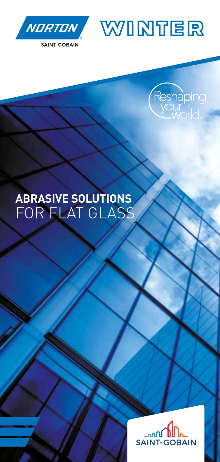





## **ABRASIVE SOLUTIONS** FOR FLAT GLASS

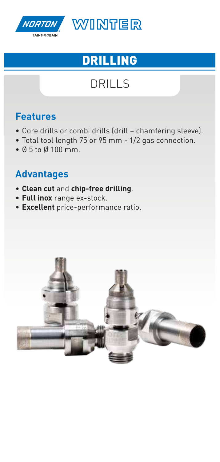

# DRILLING

## DRILLS

#### **Features**

- Core drills or combi drills (drill + chamfering sleeve).
- Total tool length 75 or 95 mm 1/2 gas connection.
- Ø 5 to Ø 100 mm.

- **Clean cut** and **chip-free drilling**.
- **Full inox** range ex-stock.
- **Excellent** price-performance ratio.

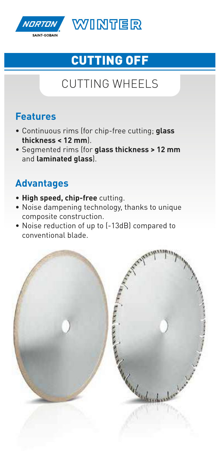

# CUTTING OFF

## CUTTING WHEELS

#### **Features**

- Continuous rims (for chip-free cutting; **glass thickness < 12 mm**).
- Segmented rims (for **glass thickness > 12 mm** and **laminated glass**).

- **High speed, chip-free** cutting.
- Noise dampening technology, thanks to unique composite construction.
- Noise reduction of up to (-13dB) compared to conventional blade.

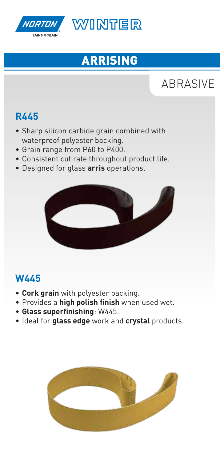

# ARRISING

# ABRASIVE

#### **R445**

- Sharp silicon carbide grain combined with waterproof polyester backing.
- Grain range from P60 to P400.
- Consistent cut rate throughout product life.
- Designed for glass **arris** operations.



#### **W445**

- **Cork grain** with polyester backing.
- Provides a **high polish finish** when used wet.
- **Glass superfinishing**: W445.
- Ideal for **glass edge** work and **crystal** products.

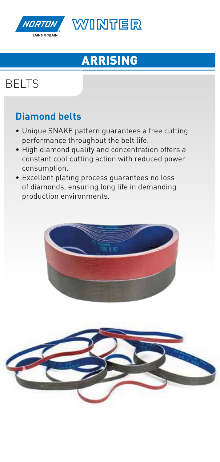

# ARRISING

# BELTS

#### **Diamond belts**

- Unique SNAKE pattern guarantees a free cutting performance throughout the belt life.
- High diamond quality and concentration offers a constant cool cutting action with reduced power consumption.
- Excellent plating process guarantees no loss of diamonds, ensuring long life in demanding production environments.



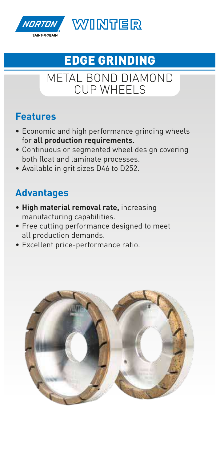

# EDGE GRINDING

### METAL BOND DIAMOND CUP WHEELS

#### **Features**

- Economic and high performance grinding wheels for **all production requirements.**
- Continuous or segmented wheel design covering both float and laminate processes.
- Available in grit sizes D46 to D252.

- **High material removal rate,** increasing manufacturing capabilities.
- Free cutting performance designed to meet all production demands.
- Excellent price-performance ratio.

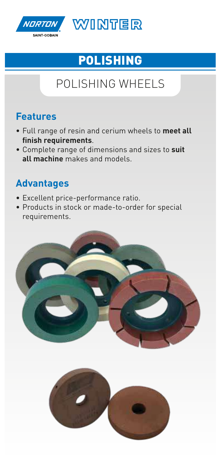

# POLISHING

# POLISHING WHEELS

#### **Features**

- Full range of resin and cerium wheels to **meet all finish requirements**.
- Complete range of dimensions and sizes to **suit all machine** makes and models.

- Excellent price-performance ratio.
- Products in stock or made-to-order for special requirements.

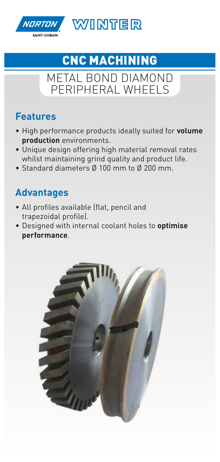

# CNC MACHINING

### METAL BOND DIAMOND PERIPHERAL WHEELS

#### **Features**

- High performance products ideally suited for **volume production** environments.
- Unique design offering high material removal rates whilst maintaining grind quality and product life.
- Standard diameters Ø 100 mm to Ø 200 mm.

- All profiles available (flat, pencil and trapezoidal profile).
- Designed with internal coolant holes to **optimise performance**.

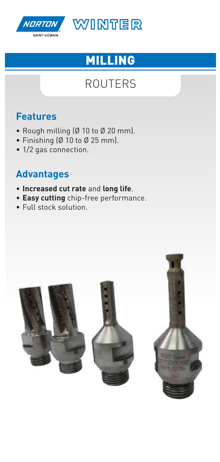

# MILLING

### ROUTERS

#### **Features**

- Rough milling (Ø 10 to Ø 20 mm).
- Finishing (Ø 10 to Ø 25 mm).
- 1/2 gas connection.

- **Increased cut rate** and **long life**.
- **Easy cutting** chip-free performance.
- Full stock solution.